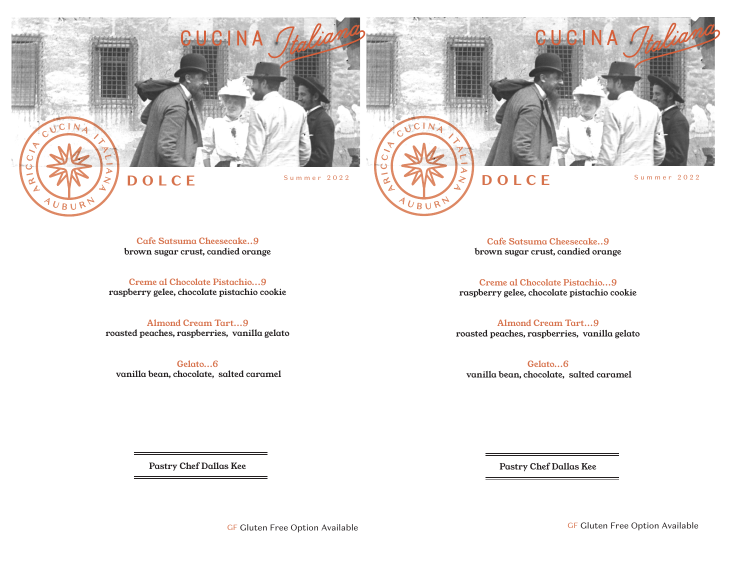



Cafe Satsuma Cheesecake..9 brown sugar crust, candied orange

 $UBUR$ 

Creme al Chocolate Pistachio...9 raspberry gelee, chocolate pistachio cookie

Almond Cream Tart...9 roasted peaches, raspberries, vanilla gelato

Gelato...6 vanilla bean, chocolate, salted caramel

Cafe Satsuma Cheesecake..9 brown sugar crust, candied orange

 $U$ R<sub>I</sub>

Creme al Chocolate Pistachio...9 raspberry gelee, chocolate pistachio cookie

Almond Cream Tart...9 roasted peaches, raspberries, vanilla gelato

Gelato...6 vanilla bean, chocolate, salted caramel

Pastry Chef Dallas Kee

Pastry Chef Dallas Kee

GF Gluten Free Option Available GF Gluten Free Option Available